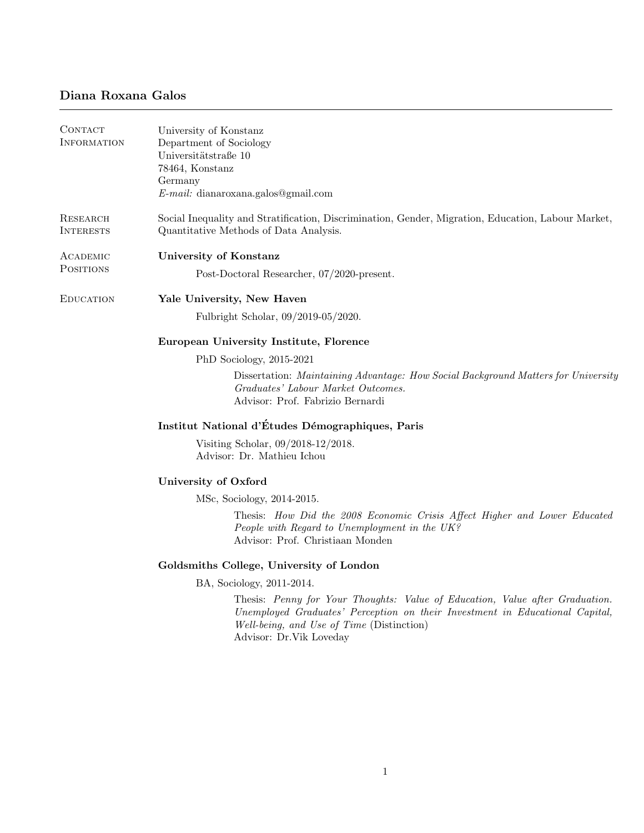## Diana Roxana Galos

| CONTACT<br><b>INFORMATION</b> | University of Konstanz<br>Department of Sociology<br>Universitätstraße 10<br>78464, Konstanz<br>Germany<br>$E$ -mail: dianaroxana.galos@gmail.com                                                                                    |
|-------------------------------|--------------------------------------------------------------------------------------------------------------------------------------------------------------------------------------------------------------------------------------|
| RESEARCH<br><b>INTERESTS</b>  | Social Inequality and Stratification, Discrimination, Gender, Migration, Education, Labour Market,<br>Quantitative Methods of Data Analysis.                                                                                         |
| ACADEMIC<br><b>POSITIONS</b>  | University of Konstanz                                                                                                                                                                                                               |
|                               | Post-Doctoral Researcher, 07/2020-present.                                                                                                                                                                                           |
| <b>EDUCATION</b>              | Yale University, New Haven                                                                                                                                                                                                           |
|                               | Fulbright Scholar, 09/2019-05/2020.                                                                                                                                                                                                  |
|                               | European University Institute, Florence                                                                                                                                                                                              |
|                               | PhD Sociology, 2015-2021                                                                                                                                                                                                             |
|                               | Dissertation: Maintaining Advantage: How Social Background Matters for University<br>Graduates' Labour Market Outcomes.<br>Advisor: Prof. Fabrizio Bernardi                                                                          |
|                               | Institut National d'Études Démographiques, Paris                                                                                                                                                                                     |
|                               | Visiting Scholar, 09/2018-12/2018.<br>Advisor: Dr. Mathieu Ichou                                                                                                                                                                     |
|                               | University of Oxford                                                                                                                                                                                                                 |
|                               | MSc, Sociology, 2014-2015.                                                                                                                                                                                                           |
|                               | Thesis: How Did the 2008 Economic Crisis Affect Higher and Lower Educated<br>People with Regard to Unemployment in the UK?<br>Advisor: Prof. Christiaan Monden                                                                       |
|                               | Goldsmiths College, University of London                                                                                                                                                                                             |
|                               | BA, Sociology, 2011-2014.                                                                                                                                                                                                            |
|                               | Thesis: Penny for Your Thoughts: Value of Education, Value after Graduation.<br>Unemployed Graduates' Perception on their Investment in Educational Capital,<br>Well-being, and Use of Time (Distinction)<br>Advisor: Dr.Vik Loveday |
|                               |                                                                                                                                                                                                                                      |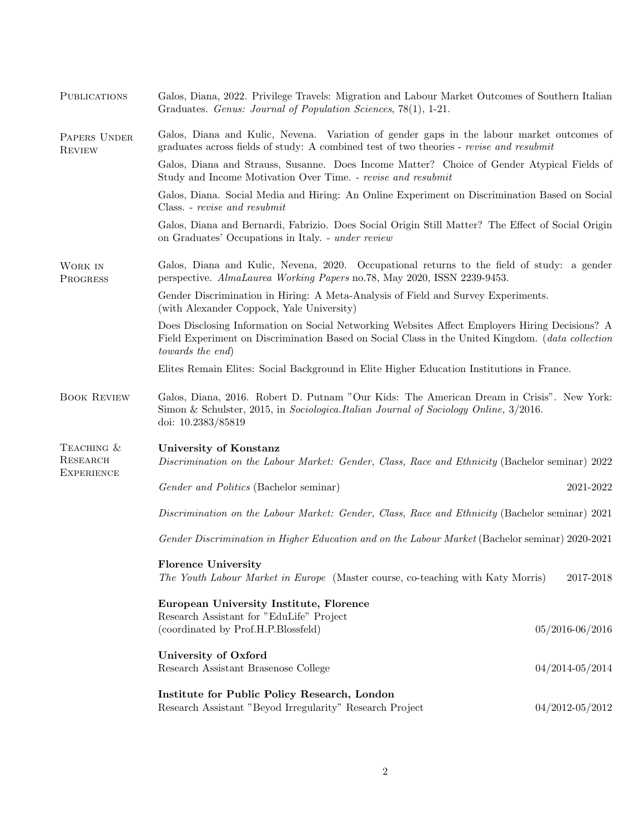| <b>PUBLICATIONS</b>                         | Galos, Diana, 2022. Privilege Travels: Migration and Labour Market Outcomes of Southern Italian<br>Graduates. Genus: Journal of Population Sciences, 78(1), 1-21.                                                      |                     |
|---------------------------------------------|------------------------------------------------------------------------------------------------------------------------------------------------------------------------------------------------------------------------|---------------------|
| PAPERS UNDER<br><b>REVIEW</b>               | Galos, Diana and Kulic, Nevena. Variation of gender gaps in the labour market outcomes of<br>graduates across fields of study: A combined test of two theories - revise and resubmit                                   |                     |
|                                             | Galos, Diana and Strauss, Susanne. Does Income Matter? Choice of Gender Atypical Fields of<br>Study and Income Motivation Over Time. - revise and resubmit                                                             |                     |
|                                             | Galos, Diana. Social Media and Hiring: An Online Experiment on Discrimination Based on Social<br>Class. - revise and resubmit                                                                                          |                     |
|                                             | Galos, Diana and Bernardi, Fabrizio. Does Social Origin Still Matter? The Effect of Social Origin<br>on Graduates' Occupations in Italy. - under review                                                                |                     |
| WORK IN<br>PROGRESS                         | Galos, Diana and Kulic, Nevena, 2020. Occupational returns to the field of study: a gender<br>perspective. AlmaLaurea Working Papers no.78, May 2020, ISSN 2239-9453.                                                  |                     |
|                                             | Gender Discrimination in Hiring: A Meta-Analysis of Field and Survey Experiments.<br>(with Alexander Coppock, Yale University)                                                                                         |                     |
|                                             | Does Disclosing Information on Social Networking Websites Affect Employers Hiring Decisions? A<br>Field Experiment on Discrimination Based on Social Class in the United Kingdom. (data collection<br>towards the end) |                     |
|                                             | Elites Remain Elites: Social Background in Elite Higher Education Institutions in France.                                                                                                                              |                     |
| <b>BOOK REVIEW</b>                          | Galos, Diana, 2016. Robert D. Putnam "Our Kids: The American Dream in Crisis". New York:<br>Simon & Schulster, 2015, in Sociologica. Italian Journal of Sociology Online, 3/2016.<br>doi: 10.2383/85819                |                     |
| TEACHING &<br>RESEARCH<br><b>EXPERIENCE</b> | University of Konstanz<br>Discrimination on the Labour Market: Gender, Class, Race and Ethnicity (Bachelor seminar) 2022                                                                                               |                     |
|                                             | Gender and Politics (Bachelor seminar)                                                                                                                                                                                 | 2021-2022           |
|                                             | Discrimination on the Labour Market: Gender, Class, Race and Ethnicity (Bachelor seminar) 2021                                                                                                                         |                     |
|                                             | Gender Discrimination in Higher Education and on the Labour Market (Bachelor seminar) 2020-2021                                                                                                                        |                     |
|                                             | <b>Florence University</b><br>The Youth Labour Market in Europe (Master course, co-teaching with Katy Morris)                                                                                                          | 2017-2018           |
|                                             | European University Institute, Florence                                                                                                                                                                                |                     |
|                                             | Research Assistant for "EduLife" Project<br>(coordinated by Prof.H.P.Blossfeld)                                                                                                                                        | $05/2016 - 06/2016$ |
|                                             | University of Oxford<br>Research Assistant Brasenose College                                                                                                                                                           | $04/2014 - 05/2014$ |
|                                             | Institute for Public Policy Research, London<br>Research Assistant "Beyod Irregularity" Research Project                                                                                                               | $04/2012 - 05/2012$ |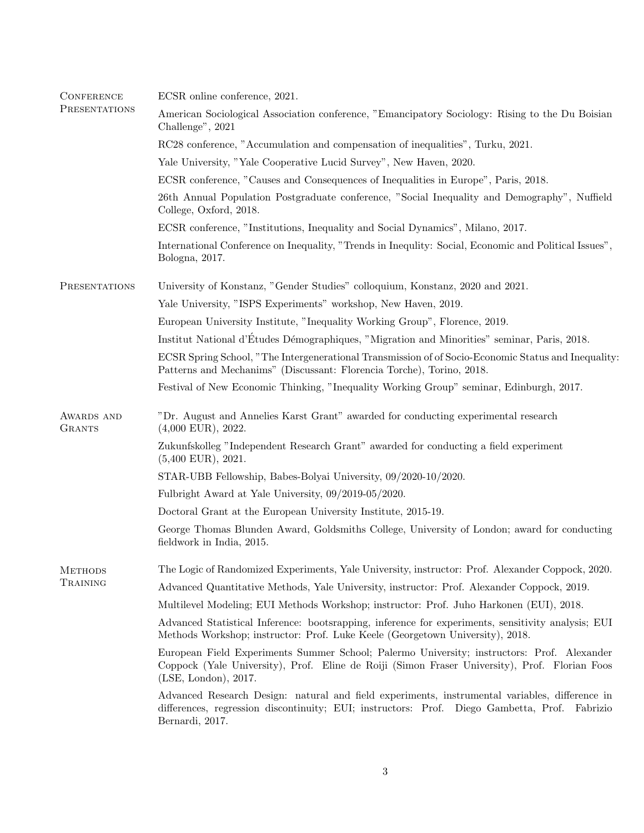| <b>CONFERENCE</b><br>PRESENTATIONS | ECSR online conference, 2021.                                                                                                                                                                                       |
|------------------------------------|---------------------------------------------------------------------------------------------------------------------------------------------------------------------------------------------------------------------|
|                                    | American Sociological Association conference, "Emancipatory Sociology: Rising to the Du Boisian<br>Challenge", 2021                                                                                                 |
|                                    | RC28 conference, "Accumulation and compensation of inequalities", Turku, 2021.                                                                                                                                      |
|                                    | Yale University, "Yale Cooperative Lucid Survey", New Haven, 2020.                                                                                                                                                  |
|                                    | ECSR conference, "Causes and Consequences of Inequalities in Europe", Paris, 2018.                                                                                                                                  |
|                                    | 26th Annual Population Postgraduate conference, "Social Inequality and Demography", Nuffield<br>College, Oxford, 2018.                                                                                              |
|                                    | ECSR conference, "Institutions, Inequality and Social Dynamics", Milano, 2017.                                                                                                                                      |
|                                    | International Conference on Inequality, "Trends in Inequility: Social, Economic and Political Issues",<br>Bologna, 2017.                                                                                            |
| PRESENTATIONS                      | University of Konstanz, "Gender Studies" colloquium, Konstanz, 2020 and 2021.                                                                                                                                       |
|                                    | Yale University, "ISPS Experiments" workshop, New Haven, 2019.                                                                                                                                                      |
|                                    | European University Institute, "Inequality Working Group", Florence, 2019.                                                                                                                                          |
|                                    | Institut National d'Études Démographiques, "Migration and Minorities" seminar, Paris, 2018.                                                                                                                         |
|                                    | ECSR Spring School, "The Intergenerational Transmission of of Socio-Economic Status and Inequality:<br>Patterns and Mechanims" (Discussant: Florencia Torche), Torino, 2018.                                        |
|                                    | Festival of New Economic Thinking, "Inequality Working Group" seminar, Edinburgh, 2017.                                                                                                                             |
| AWARDS AND<br><b>GRANTS</b>        | "Dr. August and Annelies Karst Grant" awarded for conducting experimental research<br>$(4,000$ EUR), 2022.                                                                                                          |
|                                    | Zukunfskolleg "Independent Research Grant" awarded for conducting a field experiment<br>$(5,400$ EUR), 2021.                                                                                                        |
|                                    | STAR-UBB Fellowship, Babes-Bolyai University, 09/2020-10/2020.                                                                                                                                                      |
|                                    | Fulbright Award at Yale University, 09/2019-05/2020.                                                                                                                                                                |
|                                    | Doctoral Grant at the European University Institute, 2015-19.                                                                                                                                                       |
|                                    | George Thomas Blunden Award, Goldsmiths College, University of London; award for conducting<br>fieldwork in India, 2015.                                                                                            |
| <b>METHODS</b>                     | The Logic of Randomized Experiments, Yale University, instructor: Prof. Alexander Coppock, 2020.                                                                                                                    |
| TRAINING                           | Advanced Quantitative Methods, Yale University, instructor: Prof. Alexander Coppock, 2019.                                                                                                                          |
|                                    | Multilevel Modeling; EUI Methods Workshop; instructor: Prof. Juho Harkonen (EUI), 2018.                                                                                                                             |
|                                    | Advanced Statistical Inference: bootsrapping, inference for experiments, sensitivity analysis; EUI<br>Methods Workshop; instructor: Prof. Luke Keele (Georgetown University), 2018.                                 |
|                                    | European Field Experiments Summer School; Palermo University; instructors: Prof. Alexander<br>Coppock (Yale University), Prof. Eline de Roiji (Simon Fraser University), Prof. Florian Foos<br>(LSE, London), 2017. |
|                                    | Advanced Research Design: natural and field experiments, instrumental variables, difference in<br>differences, regression discontinuity; EUI; instructors: Prof. Diego Gambetta, Prof. Fabrizio<br>Bernardi, 2017.  |
|                                    |                                                                                                                                                                                                                     |